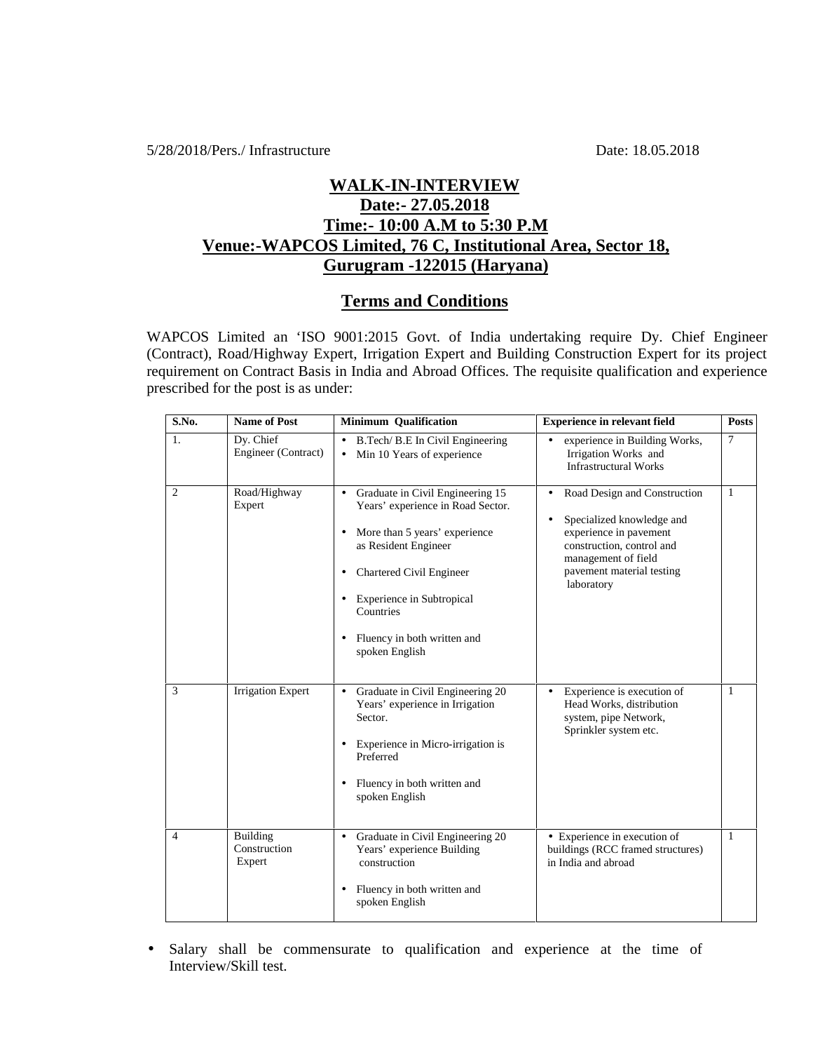5/28/2018/Pers./ Infrastructure Date: 18.05.2018

## **WALK-IN-INTERVIEW Date:- 27.05.2018 Time:- 10:00 A.M to 5:30 P.M Venue:-WAPCOS Limited, 76 C, Institutional Area, Sector 18, Gurugram -122015 (Haryana)**

## **Terms and Conditions**

WAPCOS Limited an 'ISO 9001:2015 Govt. of India undertaking require Dy. Chief Engineer (Contract), Road/Highway Expert, Irrigation Expert and Building Construction Expert for its project requirement on Contract Basis in India and Abroad Offices. The requisite qualification and experience prescribed for the post is as under:

| S.No.          | <b>Name of Post</b>                | <b>Minimum Qualification</b>                                                                                                                                                                                                                                                                           | <b>Experience in relevant field</b>                                                                                                                                                                          | <b>Posts</b>   |
|----------------|------------------------------------|--------------------------------------------------------------------------------------------------------------------------------------------------------------------------------------------------------------------------------------------------------------------------------------------------------|--------------------------------------------------------------------------------------------------------------------------------------------------------------------------------------------------------------|----------------|
| 1.             | Dy. Chief<br>Engineer (Contract)   | B.Tech/ B.E In Civil Engineering<br>$\bullet$<br>Min 10 Years of experience                                                                                                                                                                                                                            | experience in Building Works,<br>Irrigation Works and<br><b>Infrastructural Works</b>                                                                                                                        | $\overline{7}$ |
| 2              | Road/Highway<br>Expert             | Graduate in Civil Engineering 15<br>$\bullet$<br>Years' experience in Road Sector.<br>More than 5 years' experience<br>$\bullet$<br>as Resident Engineer<br>Chartered Civil Engineer<br>٠<br>Experience in Subtropical<br>$\bullet$<br>Countries<br>Fluency in both written and<br>٠<br>spoken English | Road Design and Construction<br>$\bullet$<br>Specialized knowledge and<br>$\bullet$<br>experience in pavement<br>construction, control and<br>management of field<br>pavement material testing<br>laboratory | 1              |
| 3              | <b>Irrigation Expert</b>           | Graduate in Civil Engineering 20<br>$\bullet$<br>Years' experience in Irrigation<br>Sector.<br>Experience in Micro-irrigation is<br>$\bullet$<br>Preferred<br>Fluency in both written and<br>$\bullet$<br>spoken English                                                                               | Experience is execution of<br>$\bullet$<br>Head Works, distribution<br>system, pipe Network,<br>Sprinkler system etc.                                                                                        | 1              |
| $\overline{4}$ | Building<br>Construction<br>Expert | Graduate in Civil Engineering 20<br>$\bullet$<br>Years' experience Building<br>construction<br>Fluency in both written and<br>٠<br>spoken English                                                                                                                                                      | • Experience in execution of<br>buildings (RCC framed structures)<br>in India and abroad                                                                                                                     | $\mathbf{1}$   |

 Salary shall be commensurate to qualification and experience at the time of Interview/Skill test.